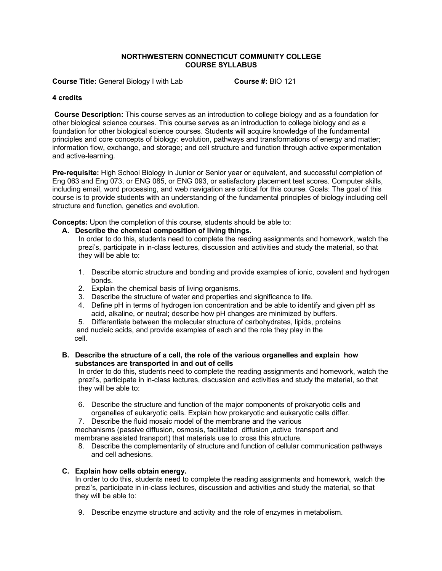### **NORTHWESTERN CONNECTICUT COMMUNITY COLLEGE COURSE SYLLABUS**

**Course Title:** General Biology I with Lab **Course #:** BIO 121

### **4 credits**

**Course Description:** This course serves as an introduction to college biology and as a foundation for other biological science courses. This course serves as an introduction to college biology and as a foundation for other biological science courses. Students will acquire knowledge of the fundamental principles and core concepts of biology: evolution, pathways and transformations of energy and matter; information flow, exchange, and storage; and cell structure and function through active experimentation and active-learning.

**Pre-requisite:** High School Biology in Junior or Senior year or equivalent, and successful completion of Eng 063 and Eng 073, or ENG 085, or ENG 093, or satisfactory placement test scores. Computer skills, including email, word processing, and web navigation are critical for this course. Goals: The goal of this course is to provide students with an understanding of the fundamental principles of biology including cell structure and function, genetics and evolution.

**Concepts:** Upon the completion of this course, students should be able to:

**A. Describe the chemical composition of living things.**

In order to do this, students need to complete the reading assignments and homework, watch the prezi's, participate in in-class lectures, discussion and activities and study the material, so that they will be able to:

- 1. Describe atomic structure and bonding and provide examples of ionic, covalent and hydrogen bonds.
- 2. Explain the chemical basis of living organisms.
- 3. Describe the structure of water and properties and significance to life.
- 4. Define pH in terms of hydrogen ion concentration and be able to identify and given pH as acid, alkaline, or neutral; describe how pH changes are minimized by buffers.
- 5. Differentiate between the molecular structure of carbohydrates, lipids, proteins
- and nucleic acids, and provide examples of each and the role they play in the cell.

### **B. Describe the structure of a cell, the role of the various organelles and explain how substances are transported in and out of cells**

In order to do this, students need to complete the reading assignments and homework, watch the prezi's, participate in in-class lectures, discussion and activities and study the material, so that they will be able to:

- 6. Describe the structure and function of the major components of prokaryotic cells and organelles of eukaryotic cells. Explain how prokaryotic and eukaryotic cells differ.
- 7. Describe the fluid mosaic model of the membrane and the various

 mechanisms (passive diffusion, osmosis, facilitated diffusion ,active transport and membrane assisted transport) that materials use to cross this structure.

8. Describe the complementarity of structure and function of cellular communication pathways and cell adhesions.

# **C. Explain how cells obtain energy.**

In order to do this, students need to complete the reading assignments and homework, watch the prezi's, participate in in-class lectures, discussion and activities and study the material, so that they will be able to:

9. Describe enzyme structure and activity and the role of enzymes in metabolism.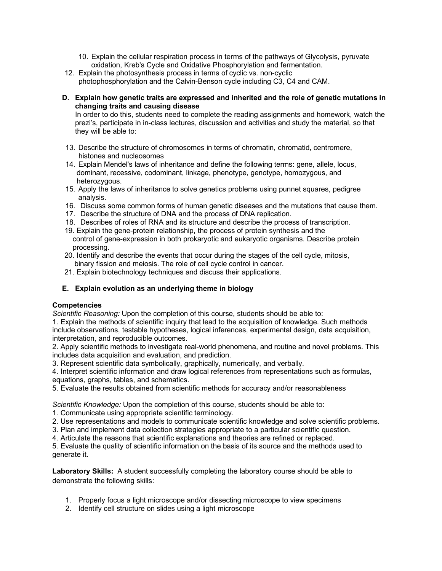- 10. Explain the cellular respiration process in terms of the pathways of Glycolysis, pyruvate oxidation, Kreb's Cycle and Oxidative Phosphorylation and fermentation.
- 12. Explain the photosynthesis process in terms of cyclic vs. non-cyclic photophosphorylation and the Calvin-Benson cycle including C3, C4 and CAM.
- **D. Explain how genetic traits are expressed and inherited and the role of genetic mutations in changing traits and causing disease**

In order to do this, students need to complete the reading assignments and homework, watch the prezi's, participate in in-class lectures, discussion and activities and study the material, so that they will be able to:

- 13. Describe the structure of chromosomes in terms of chromatin, chromatid, centromere, histones and nucleosomes
- 14. Explain Mendel's laws of inheritance and define the following terms: gene, allele, locus, dominant, recessive, codominant, linkage, phenotype, genotype, homozygous, and heterozygous.
- 15. Apply the laws of inheritance to solve genetics problems using punnet squares, pedigree analysis.
- 16. Discuss some common forms of human genetic diseases and the mutations that cause them.
- 17. Describe the structure of DNA and the process of DNA replication.
- 18. Describes of roles of RNA and its structure and describe the process of transcription.
- 19. Explain the gene-protein relationship, the process of protein synthesis and the control of gene-expression in both prokaryotic and eukaryotic organisms. Describe protein processing.
- 20. Identify and describe the events that occur during the stages of the cell cycle, mitosis, binary fission and meiosis. The role of cell cycle control in cancer.
- 21. Explain biotechnology techniques and discuss their applications.

# **E. Explain evolution as an underlying theme in biology**

#### **Competencies**

*Scientific Reasoning:* Upon the completion of this course, students should be able to:

1. Explain the methods of scientific inquiry that lead to the acquisition of knowledge. Such methods include observations, testable hypotheses, logical inferences, experimental design, data acquisition, interpretation, and reproducible outcomes.

2. Apply scientific methods to investigate real-world phenomena, and routine and novel problems. This includes data acquisition and evaluation, and prediction.

3. Represent scientific data symbolically, graphically, numerically, and verbally.

4. Interpret scientific information and draw logical references from representations such as formulas, equations, graphs, tables, and schematics.

5. Evaluate the results obtained from scientific methods for accuracy and/or reasonableness

*Scientific Knowledge:* Upon the completion of this course, students should be able to:

- 1. Communicate using appropriate scientific terminology.
- 2. Use representations and models to communicate scientific knowledge and solve scientific problems.
- 3. Plan and implement data collection strategies appropriate to a particular scientific question.
- 4. Articulate the reasons that scientific explanations and theories are refined or replaced.

5. Evaluate the quality of scientific information on the basis of its source and the methods used to generate it.

**Laboratory Skills:** A student successfully completing the laboratory course should be able to demonstrate the following skills:

- 1. Properly focus a light microscope and/or dissecting microscope to view specimens
- 2. Identify cell structure on slides using a light microscope